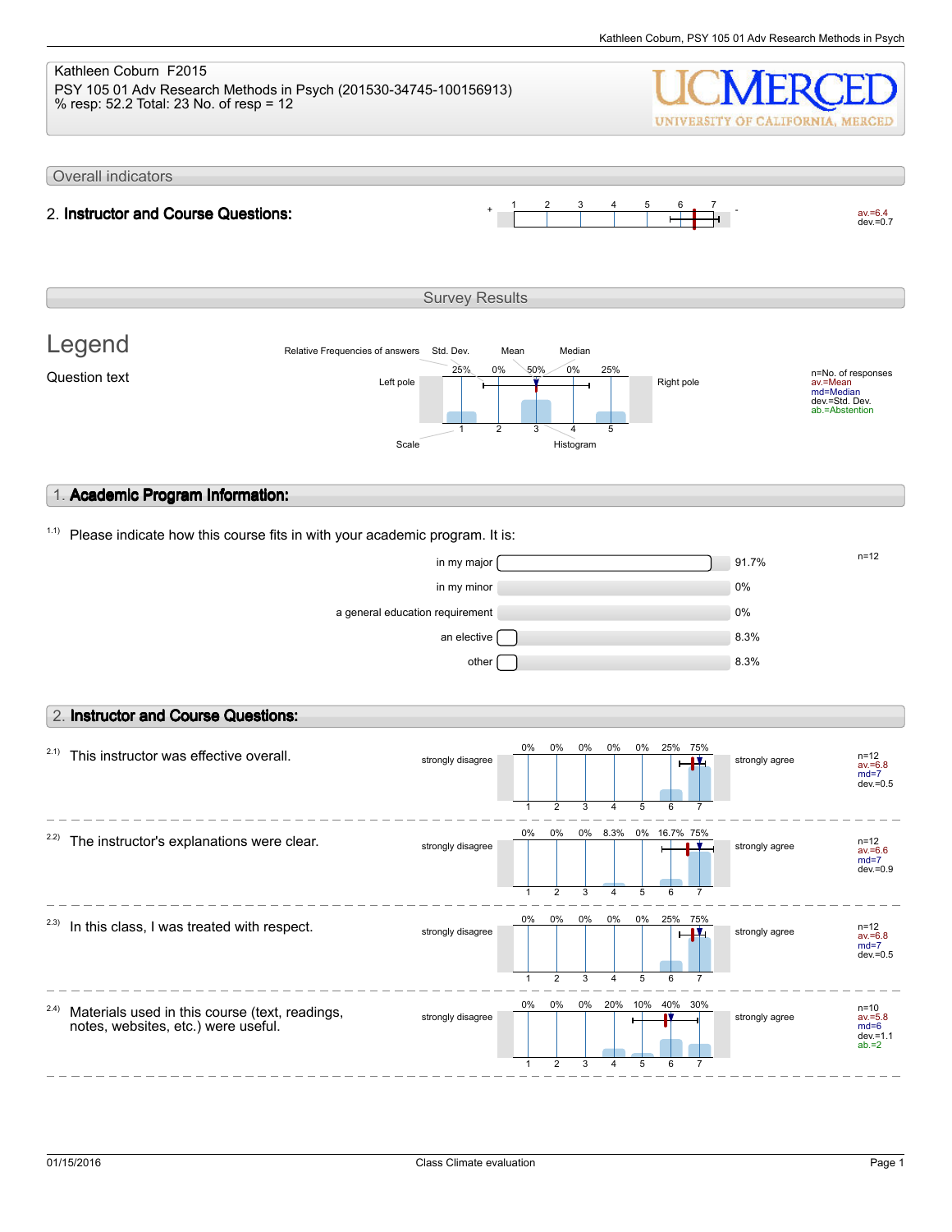#### Kathleen Coburn F2015 PSY 105 01 Adv Research Methods in Psych (201530-34745-100156913) % resp: 52.2 Total: 23 No. of resp = 12 UNIVERSITY OF CALIFORNIA, MERCED Overall indicators 1 2 3 4 5 6 7  $av.=6.4$ <br>dev.=0.7 2. **Instructor and Course Questions:** Survey Results Legend Relative Frequencies of answers Std. Dev. Mean Median 0% 25% 0% 50% 25% n=No. of responses av.=Mean md=Median Question text  $L$  and  $L$  the  $\frac{L}{L}$  and  $\frac{L}{L}$  and  $\frac{L}{L}$  Right pole dev.=Std. Dev. ab.=Abstention 1 2 3 4 5 Scale Histogram 1. **Academic Program Information:**  $1.1)$  Please indicate how this course fits in with your academic program. It is:  $\frac{m}{2}$  in my major  $\frac{m}{2}$ in my minor and the contract of the contract of the contract of the contract of the contract of the contract of the contract of the contract of the contract of the contract of the contract of the contract of the contract o a general education requirement 0% an elective  $\Box$ other  $\begin{bmatrix} 1 & 0 \end{bmatrix}$  and  $\begin{bmatrix} 8.3\% \end{bmatrix}$ 2. **Instructor and Course Questions:** 0% 0% 0% 0% 0% 25% 75%  $2.1)$  This instructor was effective overall. strongly disagree strongly agree av.=6.8 md=7 dev.=0.5 1 2 3 4 5 6 7 0% 0% 0%  $2.2$ ) The instructor's explanations were clear. 8.3% 0% 16.7% 75% strongly disagree strongly agree av.=6.6 md=7  $dev = 0.9$ 1 2 3 4 5 6 7 0% 0% 0% 0% 0% 25% 75%  $2.3)$  In this class, I was treated with respect. strongly disagree strongly agree av.=6.8 md=7 dev.=0.5 5 1 2 3 4 6 7 0% 0% 0% 20% 10% 40% 30% 2.4) Materials used in this course (text, readings, n=10<br>av.=5.8<br>md=6<br>dev.=1.1<br>ab.=2 strongly disagree strongly disagree notes, websites, etc.) were useful.

1

2

3

4

5

6

7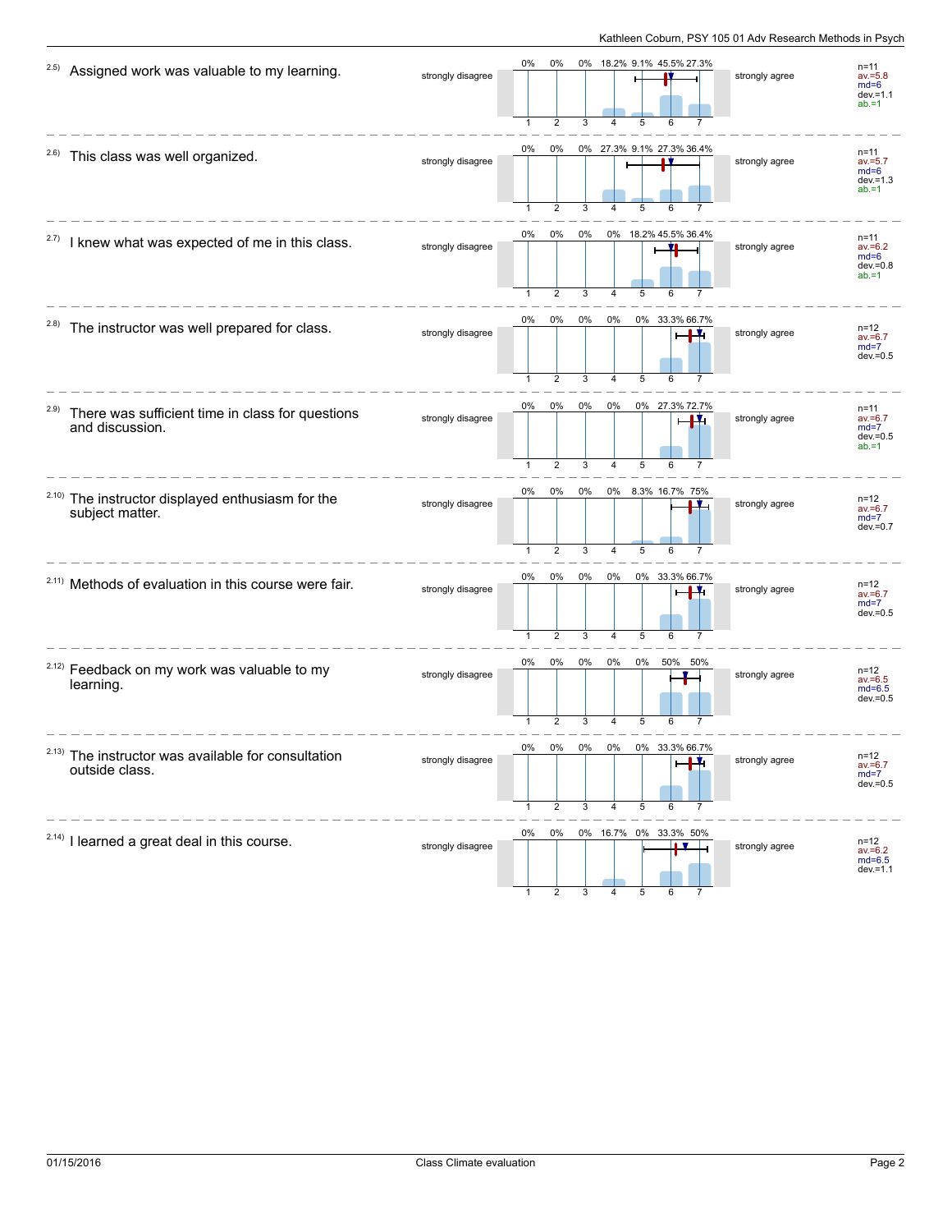| 2.5)  | Assigned work was valuable to my learning.                           | strongly disagree | 0%                 | 0%<br>$\overline{2}$    | 3       |                | 5     | 0% 18.2% 9.1% 45.5% 27.3% | strongly agree | $n = 11$<br>$av = 5.8$<br>$md=6$<br>$dev = 1.1$<br>$ab = 1$ |
|-------|----------------------------------------------------------------------|-------------------|--------------------|-------------------------|---------|----------------|-------|---------------------------|----------------|-------------------------------------------------------------|
| 2.6)  | This class was well organized.                                       | strongly disagree | 0%                 | 0%<br>$\overline{2}$    |         |                |       | 0% 27.3% 9.1% 27.3% 36.4% | strongly agree | $n = 11$<br>$av = 5.7$<br>$md=6$<br>$dev = 1.3$<br>$ab = 1$ |
| 2.7)  | I knew what was expected of me in this class.                        | strongly disagree | 0%                 | 0%                      | 0%<br>3 |                |       | 0% 18.2% 45.5% 36.4%      | strongly agree | $n = 11$<br>$av = 6.2$<br>$md=6$<br>$dev = 0.8$<br>$ab = 1$ |
| (2.8) | The instructor was well prepared for class.                          | strongly disagree | 0%<br>$\mathbf{1}$ | 0%<br>$\overline{2}$    | 0%<br>3 | 0%<br>4        | 5     | 0% 33.3% 66.7%            | strongly agree | $n = 12$<br>$av = 6.7$<br>$md=7$<br>$dev = 0.5$             |
| 2.9)  | There was sufficient time in class for questions<br>and discussion.  | strongly disagree | 0%<br>$\mathbf{1}$ | $0\%$<br>$\overline{2}$ | 0%<br>3 | 0%<br>4        | 5     | 0% 27.3% 72.7%<br>Ŧ.<br>6 | strongly agree | $n = 11$<br>$av = 6.7$<br>$md=7$<br>$dev = 0.5$<br>$ab = 1$ |
| 2.10) | The instructor displayed enthusiasm for the<br>subject matter.       | strongly disagree | 0%<br>$\mathbf{1}$ | 0%<br>$\overline{2}$    | 0%<br>3 | $\overline{4}$ | 5     | 0% 8.3% 16.7% 75%<br>6    | strongly agree | $n = 12$<br>$av = 6.7$<br>$md=7$<br>$dev = 0.7$             |
|       | <sup>2.11)</sup> Methods of evaluation in this course were fair.     | strongly disagree | 0%<br>$\mathbf{1}$ | 0%<br>$\overline{2}$    | 0%<br>3 | 0%<br>4        | 5     | 0% 33.3% 66.7%<br>6       | strongly agree | $n = 12$<br>$av = 6.7$<br>$md=7$<br>$dev = 0.5$             |
|       | <sup>2.12)</sup> Feedback on my work was valuable to my<br>learning. | strongly disagree | 0%                 | 0%<br>2                 | 0%      | $0\%$          | $0\%$ | 50%<br>50%                | strongly agree | $n = 12$<br>$av = 6.5$<br>$md=6.5$<br>$dev = 0.5$           |
| 2.13) | The instructor was available for consultation<br>outside class.      | strongly disagree | 0%                 | 0%<br>2                 | 3       |                | 5     | 33                        | strongly agree | $n = 12$<br>$av = 6.7$<br>$md=7$<br>$dev = 0.5$             |
|       | $2.14$ ) I learned a great deal in this course.                      | strongly disagree | 0%                 | 0%                      |         |                |       | 0% 16.7% 0% 33.3% 50%     | strongly agree | $n = 12$<br>$av = 6.2$<br>md=6.5<br>$dev = 1.1$             |

1 2 3 4 5 6 7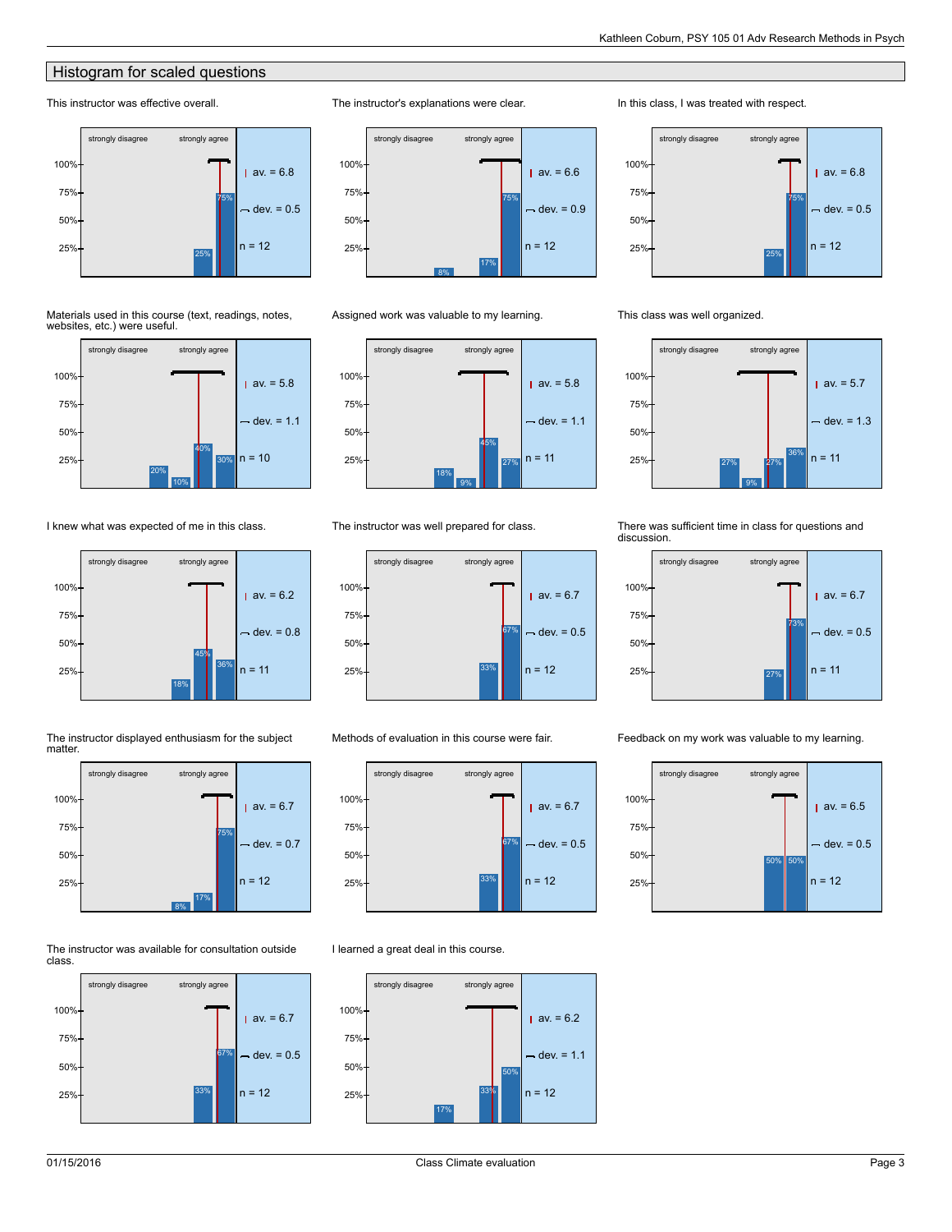### **Histogram for scaled questions**

### This instructor was effective overall.



#### Materials used in this course (text, readings, notes, websites, etc.) were useful.



I knew what was expected of me in this class.







#### The instructor was available for consultation outside class.





#### Assigned work was valuable to my learning.

The instructor's explanations were clear.



#### The instructor was well prepared for class.



#### Methods of evaluation in this course were fair.



#### I learned a great deal in this course.



#### In this class, I was treated with respect.



#### This class was well organized.



#### There was sufficient time in class for questions and discussion.



#### Feedback on my work was valuable to my learning.

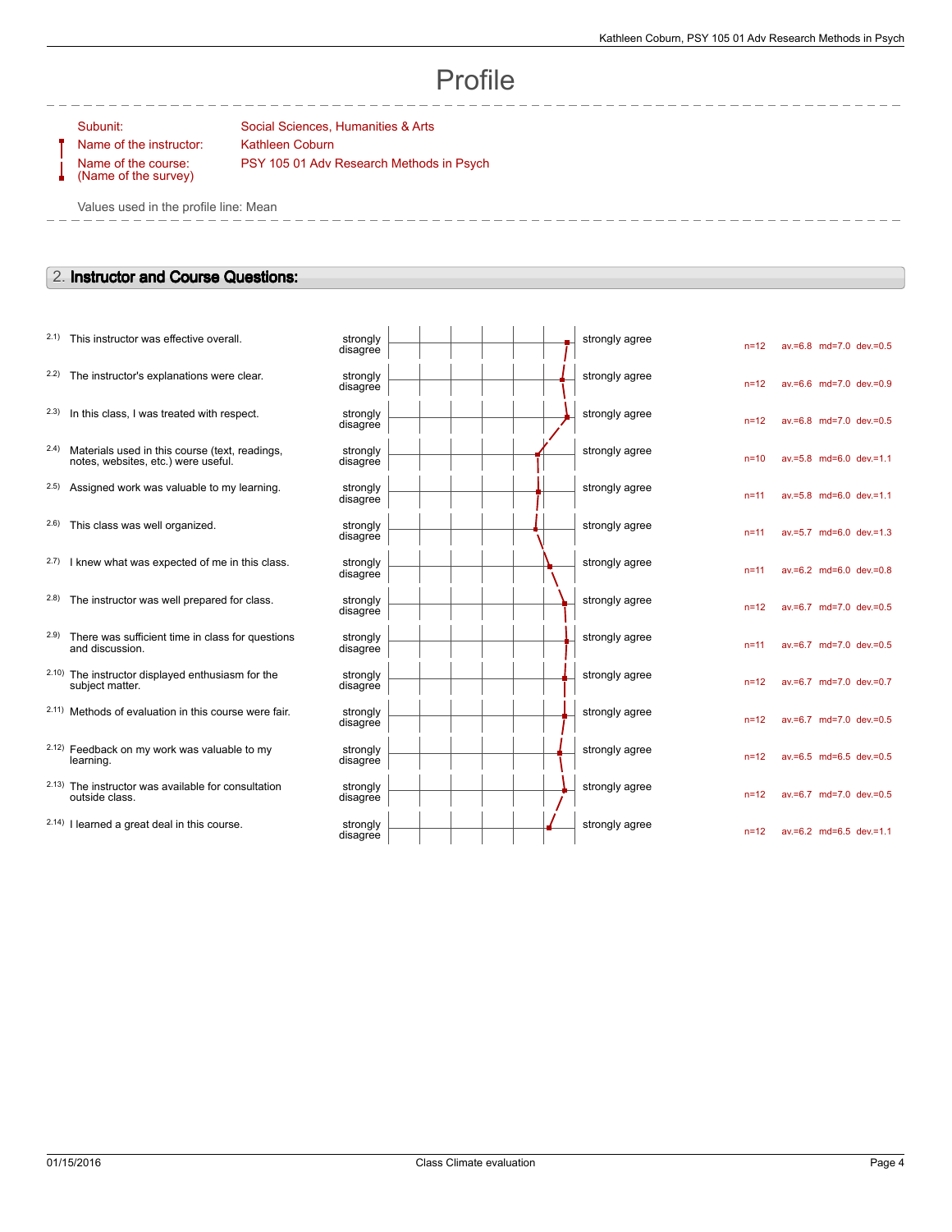n=12 av.=6.8 md=7.0 dev.=0.5

n=12 av.=6.6 md=7.0 dev.=0.9

n=12 av.=6.8 md=7.0 dev.=0.5

n=10 av.=5.8 md=6.0 dev.=1.1

n=11 av.=5.8 md=6.0 dev.=1.1

n=11 av.=5.7 md=6.0 dev.=1.3

n=11 av.=6.2 md=6.0 dev.=0.8

n=12 av.=6.7 md=7.0 dev.=0.5

n=11 av.=6.7 md=7.0 dev.=0.5

n=12 av.=6.7 md=7.0 dev.=0.7

n=12 av.=6.7 md=7.0 dev.=0.5

n=12 av.=6.5 md=6.5 dev.=0.5

n=12 av.=6.7 md=7.0 dev.=0.5

n=12 av.=6.2 md=6.5 dev.=1.1

# Profile

Name of the instructor: Kathleen Coburn Name of the course: (Name of the survey)

Subunit: Subunit: Social Sciences, Humanities & Arts PSY 105 01 Adv Research Methods in Psych

Values used in the profile line: Mean

#### 2. **Instructor and Course Questions:**

- $2.1)$  This instructor was effective overall.
- $2.2$ ) The instructor's explanations were clear.
- $2.3$  In this class, I was treated with respect.
- 2.4) Materials used in this course (text, readings, notes, websites, etc.) were useful.
- $2.5$ ) Assigned work was valuable to my learning.
- $2.6$ ) This class was well organized.
- $2.7$ ) I knew what was expected of me in this class.
- $2.8$ ) The instructor was well prepared for class.
- 2.9) There was sufficient time in class for questions and discussion.
- 2.10) The instructor displayed enthusiasm for the subject matter.
- $2.11)$  Methods of evaluation in this course were fair.
- 2.12) Feedback on my work was valuable to my learning.
- 2.13) The instructor was available for consultation outside class.
- $2.14$ ) I learned a great deal in this course.

|  |  | strongly agree |  |
|--|--|----------------|--|
|  |  | strongly agree |  |
|  |  | strongly agree |  |
|  |  | strongly agree |  |
|  |  | strongly agree |  |
|  |  | strongly agree |  |
|  |  | strongly agree |  |
|  |  | strongly agree |  |
|  |  | strongly agree |  |
|  |  | strongly agree |  |
|  |  | strongly agree |  |
|  |  | strongly agree |  |
|  |  | strongly agree |  |
|  |  | strongly agree |  |
|  |  |                |  |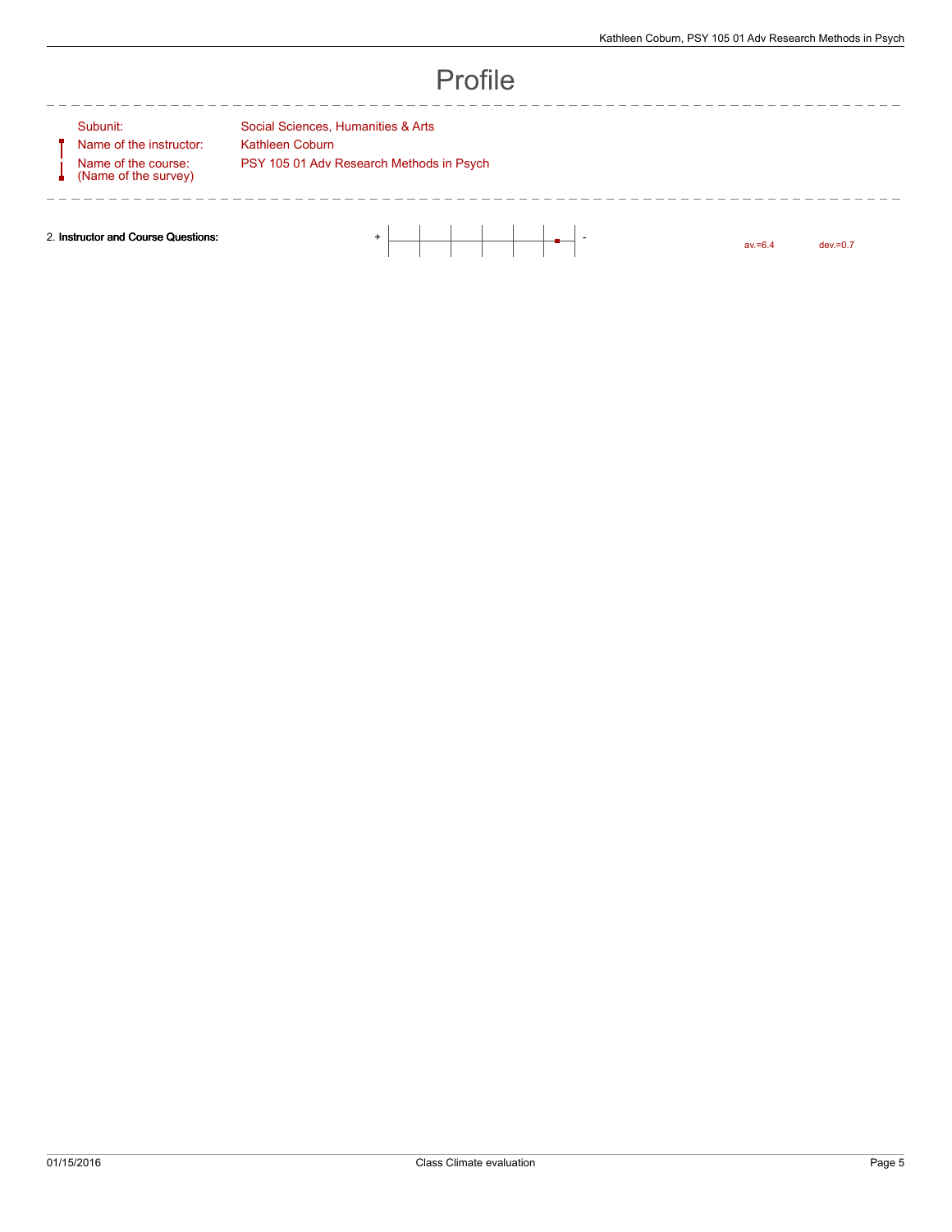---------------

# Profile

Name of the instructor: Kathleen Coburn Name of the course: (Name of the survey)

---------

Subunit: Social Sciences, Humanities & Arts PSY 105 01 Adv Research Methods in Psych

 $\frac{1}{2}$ 

2. **Instructor and Course Questions:** + -

av.=6.4 dev.=0.7